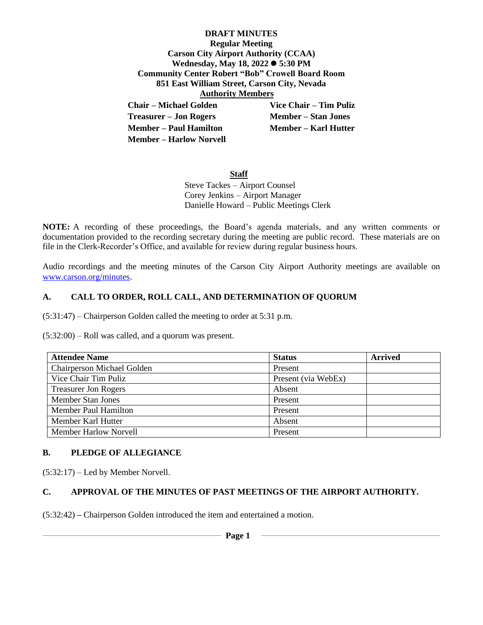**DRAFT MINUTES Regular Meeting Carson City Airport Authority (CCAA) Wednesday, May 18, 2022** ⚫ **5:30 PM Community Center Robert "Bob" Crowell Board Room 851 East William Street, Carson City, Nevada Authority Members Chair – Michael Golden Vice Chair – Tim Puliz Treasurer – Jon Rogers Member – Stan Jones Member – Paul Hamilton Member – Karl Hutter Member – Harlow Norvell**

### **Staff**

Steve Tackes – Airport Counsel Corey Jenkins – Airport Manager Danielle Howard – Public Meetings Clerk

**NOTE:** A recording of these proceedings, the Board's agenda materials, and any written comments or documentation provided to the recording secretary during the meeting are public record. These materials are on file in the Clerk-Recorder's Office, and available for review during regular business hours.

Audio recordings and the meeting minutes of the Carson City Airport Authority meetings are available on [www.carson.org/minutes.](http://www.carson.org/minutes)

### **A. CALL TO ORDER, ROLL CALL, AND DETERMINATION OF QUORUM**

(5:31:47) – Chairperson Golden called the meeting to order at 5:31 p.m.

(5:32:00) – Roll was called, and a quorum was present.

| <b>Attendee Name</b>              | <b>Status</b>       | <b>Arrived</b> |
|-----------------------------------|---------------------|----------------|
| <b>Chairperson Michael Golden</b> | Present             |                |
| Vice Chair Tim Puliz              | Present (via WebEx) |                |
| <b>Treasurer Jon Rogers</b>       | Absent              |                |
| <b>Member Stan Jones</b>          | Present             |                |
| <b>Member Paul Hamilton</b>       | Present             |                |
| Member Karl Hutter                | Absent              |                |
| <b>Member Harlow Norvell</b>      | Present             |                |

#### **B. PLEDGE OF ALLEGIANCE**

(5:32:17) – Led by Member Norvell.

### **C. APPROVAL OF THE MINUTES OF PAST MEETINGS OF THE AIRPORT AUTHORITY.**

(5:32:42) **–** Chairperson Golden introduced the item and entertained a motion.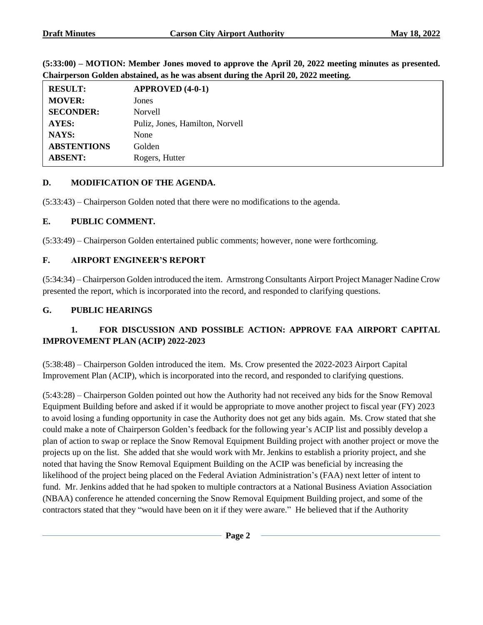| <b>RESULT:</b>     | $APPROVED (4-0-1)$              |
|--------------------|---------------------------------|
| <b>MOVER:</b>      | Jones                           |
| <b>SECONDER:</b>   | <b>Norvell</b>                  |
| AYES:              | Puliz, Jones, Hamilton, Norvell |
| <b>NAYS:</b>       | None                            |
| <b>ABSTENTIONS</b> | Golden                          |
| <b>ABSENT:</b>     | Rogers, Hutter                  |

**(5:33:00) – MOTION: Member Jones moved to approve the April 20, 2022 meeting minutes as presented. Chairperson Golden abstained, as he was absent during the April 20, 2022 meeting.**

# **D. MODIFICATION OF THE AGENDA.**

(5:33:43) – Chairperson Golden noted that there were no modifications to the agenda.

## **E. PUBLIC COMMENT.**

(5:33:49) – Chairperson Golden entertained public comments; however, none were forthcoming.

## **F. AIRPORT ENGINEER'S REPORT**

(5:34:34) – Chairperson Golden introduced the item. Armstrong Consultants Airport Project Manager Nadine Crow presented the report, which is incorporated into the record, and responded to clarifying questions.

## **G. PUBLIC HEARINGS**

# **1. FOR DISCUSSION AND POSSIBLE ACTION: APPROVE FAA AIRPORT CAPITAL IMPROVEMENT PLAN (ACIP) 2022-2023**

(5:38:48) – Chairperson Golden introduced the item. Ms. Crow presented the 2022-2023 Airport Capital Improvement Plan (ACIP), which is incorporated into the record, and responded to clarifying questions.

(5:43:28) – Chairperson Golden pointed out how the Authority had not received any bids for the Snow Removal Equipment Building before and asked if it would be appropriate to move another project to fiscal year (FY) 2023 to avoid losing a funding opportunity in case the Authority does not get any bids again. Ms. Crow stated that she could make a note of Chairperson Golden's feedback for the following year's ACIP list and possibly develop a plan of action to swap or replace the Snow Removal Equipment Building project with another project or move the projects up on the list. She added that she would work with Mr. Jenkins to establish a priority project, and she noted that having the Snow Removal Equipment Building on the ACIP was beneficial by increasing the likelihood of the project being placed on the Federal Aviation Administration's (FAA) next letter of intent to fund. Mr. Jenkins added that he had spoken to multiple contractors at a National Business Aviation Association (NBAA) conference he attended concerning the Snow Removal Equipment Building project, and some of the contractors stated that they "would have been on it if they were aware." He believed that if the Authority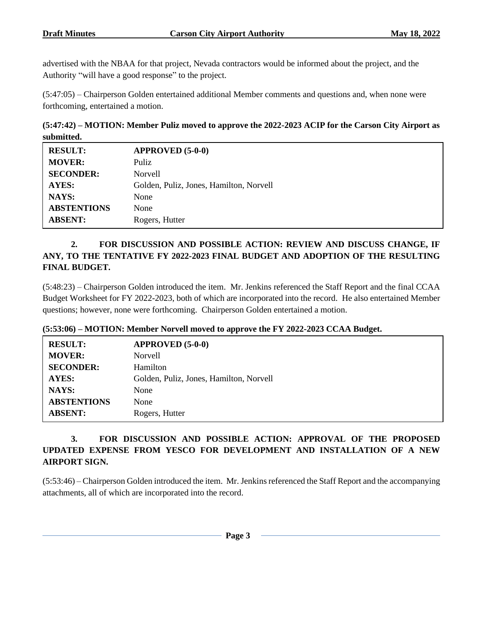advertised with the NBAA for that project, Nevada contractors would be informed about the project, and the Authority "will have a good response" to the project.

(5:47:05) – Chairperson Golden entertained additional Member comments and questions and, when none were forthcoming, entertained a motion.

**(5:47:42) – MOTION: Member Puliz moved to approve the 2022-2023 ACIP for the Carson City Airport as submitted.**

| <b>RESULT:</b>     | $APPROVED (5-0-0)$                      |
|--------------------|-----------------------------------------|
| <b>MOVER:</b>      | <b>Puliz</b>                            |
| <b>SECONDER:</b>   | Norvell                                 |
| AYES:              | Golden, Puliz, Jones, Hamilton, Norvell |
| NAYS:              | None                                    |
| <b>ABSTENTIONS</b> | None                                    |
| <b>ABSENT:</b>     | Rogers, Hutter                          |

## **2. FOR DISCUSSION AND POSSIBLE ACTION: REVIEW AND DISCUSS CHANGE, IF ANY, TO THE TENTATIVE FY 2022-2023 FINAL BUDGET AND ADOPTION OF THE RESULTING FINAL BUDGET.**

(5:48:23) – Chairperson Golden introduced the item. Mr. Jenkins referenced the Staff Report and the final CCAA Budget Worksheet for FY 2022-2023, both of which are incorporated into the record. He also entertained Member questions; however, none were forthcoming. Chairperson Golden entertained a motion.

**(5:53:06) – MOTION: Member Norvell moved to approve the FY 2022-2023 CCAA Budget.**

| <b>RESULT:</b>     | $APPROVED (5-0-0)$                      |
|--------------------|-----------------------------------------|
| <b>MOVER:</b>      | <b>Norvell</b>                          |
| <b>SECONDER:</b>   | Hamilton                                |
| AYES:              | Golden, Puliz, Jones, Hamilton, Norvell |
| NAYS:              | None                                    |
| <b>ABSTENTIONS</b> | None                                    |
| <b>ABSENT:</b>     | Rogers, Hutter                          |

# **3. FOR DISCUSSION AND POSSIBLE ACTION: APPROVAL OF THE PROPOSED UPDATED EXPENSE FROM YESCO FOR DEVELOPMENT AND INSTALLATION OF A NEW AIRPORT SIGN.**

(5:53:46) – Chairperson Golden introduced the item. Mr. Jenkins referenced the Staff Report and the accompanying attachments, all of which are incorporated into the record.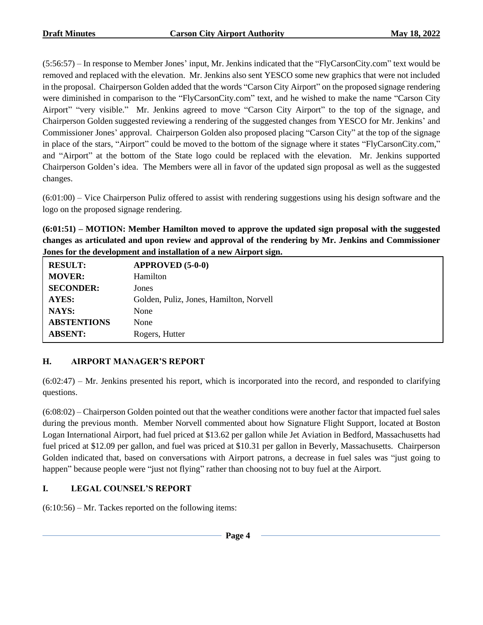(5:56:57) – In response to Member Jones' input, Mr. Jenkins indicated that the "FlyCarsonCity.com" text would be removed and replaced with the elevation. Mr. Jenkins also sent YESCO some new graphics that were not included in the proposal. Chairperson Golden added that the words "Carson City Airport" on the proposed signage rendering were diminished in comparison to the "FlyCarsonCity.com" text, and he wished to make the name "Carson City Airport" "very visible." Mr. Jenkins agreed to move "Carson City Airport" to the top of the signage, and Chairperson Golden suggested reviewing a rendering of the suggested changes from YESCO for Mr. Jenkins' and Commissioner Jones' approval. Chairperson Golden also proposed placing "Carson City" at the top of the signage in place of the stars, "Airport" could be moved to the bottom of the signage where it states "FlyCarsonCity.com," and "Airport" at the bottom of the State logo could be replaced with the elevation. Mr. Jenkins supported Chairperson Golden's idea. The Members were all in favor of the updated sign proposal as well as the suggested changes.

 $(6:01:00)$  – Vice Chairperson Puliz offered to assist with rendering suggestions using his design software and the logo on the proposed signage rendering.

**(6:01:51) – MOTION: Member Hamilton moved to approve the updated sign proposal with the suggested changes as articulated and upon review and approval of the rendering by Mr. Jenkins and Commissioner Jones for the development and installation of a new Airport sign.**

| <b>RESULT:</b>     | $APPROVED (5-0-0)$                      |
|--------------------|-----------------------------------------|
| <b>MOVER:</b>      | Hamilton                                |
| <b>SECONDER:</b>   | Jones                                   |
| <b>AYES:</b>       | Golden, Puliz, Jones, Hamilton, Norvell |
| NAYS:              | None                                    |
| <b>ABSTENTIONS</b> | None                                    |
| <b>ABSENT:</b>     | Rogers, Hutter                          |

## **H. AIRPORT MANAGER'S REPORT**

(6:02:47) – Mr. Jenkins presented his report, which is incorporated into the record, and responded to clarifying questions.

(6:08:02) – Chairperson Golden pointed out that the weather conditions were another factor that impacted fuel sales during the previous month. Member Norvell commented about how Signature Flight Support, located at Boston Logan International Airport, had fuel priced at \$13.62 per gallon while Jet Aviation in Bedford, Massachusetts had fuel priced at \$12.09 per gallon, and fuel was priced at \$10.31 per gallon in Beverly, Massachusetts. Chairperson Golden indicated that, based on conversations with Airport patrons, a decrease in fuel sales was "just going to happen" because people were "just not flying" rather than choosing not to buy fuel at the Airport.

# **I. LEGAL COUNSEL'S REPORT**

 $(6:10:56)$  – Mr. Tackes reported on the following items:

**Page 4**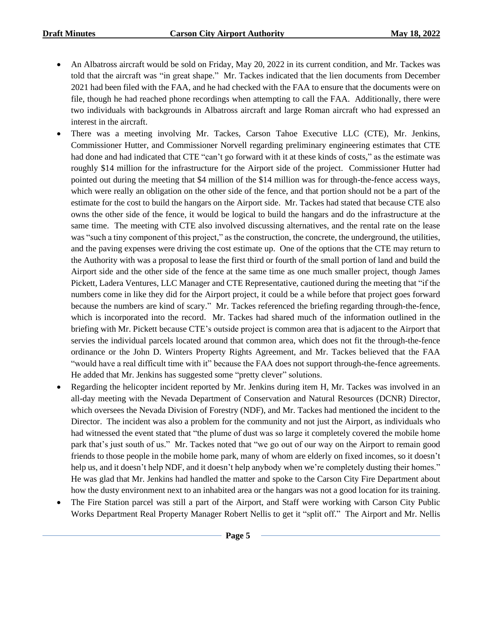- An Albatross aircraft would be sold on Friday, May 20, 2022 in its current condition, and Mr. Tackes was told that the aircraft was "in great shape." Mr. Tackes indicated that the lien documents from December 2021 had been filed with the FAA, and he had checked with the FAA to ensure that the documents were on file, though he had reached phone recordings when attempting to call the FAA. Additionally, there were two individuals with backgrounds in Albatross aircraft and large Roman aircraft who had expressed an interest in the aircraft.
- There was a meeting involving Mr. Tackes, Carson Tahoe Executive LLC (CTE), Mr. Jenkins, Commissioner Hutter, and Commissioner Norvell regarding preliminary engineering estimates that CTE had done and had indicated that CTE "can't go forward with it at these kinds of costs," as the estimate was roughly \$14 million for the infrastructure for the Airport side of the project. Commissioner Hutter had pointed out during the meeting that \$4 million of the \$14 million was for through-the-fence access ways, which were really an obligation on the other side of the fence, and that portion should not be a part of the estimate for the cost to build the hangars on the Airport side. Mr. Tackes had stated that because CTE also owns the other side of the fence, it would be logical to build the hangars and do the infrastructure at the same time. The meeting with CTE also involved discussing alternatives, and the rental rate on the lease was "such a tiny component of this project," as the construction, the concrete, the underground, the utilities, and the paving expenses were driving the cost estimate up. One of the options that the CTE may return to the Authority with was a proposal to lease the first third or fourth of the small portion of land and build the Airport side and the other side of the fence at the same time as one much smaller project, though James Pickett, Ladera Ventures, LLC Manager and CTE Representative, cautioned during the meeting that "if the numbers come in like they did for the Airport project, it could be a while before that project goes forward because the numbers are kind of scary." Mr. Tackes referenced the briefing regarding through-the-fence, which is incorporated into the record. Mr. Tackes had shared much of the information outlined in the briefing with Mr. Pickett because CTE's outside project is common area that is adjacent to the Airport that servies the individual parcels located around that common area, which does not fit the through-the-fence ordinance or the John D. Winters Property Rights Agreement, and Mr. Tackes believed that the FAA "would have a real difficult time with it" because the FAA does not support through-the-fence agreements. He added that Mr. Jenkins has suggested some "pretty clever" solutions.
- Regarding the helicopter incident reported by Mr. Jenkins during item H, Mr. Tackes was involved in an all-day meeting with the Nevada Department of Conservation and Natural Resources (DCNR) Director, which oversees the Nevada Division of Forestry (NDF), and Mr. Tackes had mentioned the incident to the Director. The incident was also a problem for the community and not just the Airport, as individuals who had witnessed the event stated that "the plume of dust was so large it completely covered the mobile home park that's just south of us." Mr. Tackes noted that "we go out of our way on the Airport to remain good friends to those people in the mobile home park, many of whom are elderly on fixed incomes, so it doesn't help us, and it doesn't help NDF, and it doesn't help anybody when we're completely dusting their homes." He was glad that Mr. Jenkins had handled the matter and spoke to the Carson City Fire Department about how the dusty environment next to an inhabited area or the hangars was not a good location for its training.
- The Fire Station parcel was still a part of the Airport, and Staff were working with Carson City Public Works Department Real Property Manager Robert Nellis to get it "split off." The Airport and Mr. Nellis